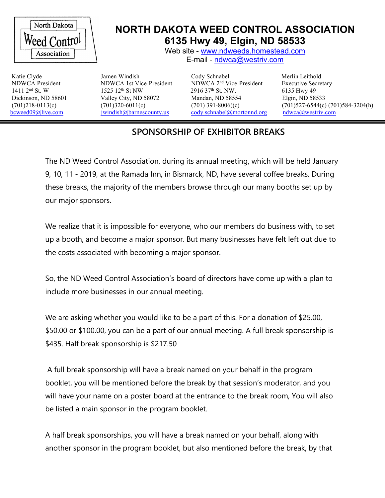

## **NORTH DAKOTA WEED CONTROL ASSOCIATION 6135 Hwy 49, Elgin, ND 58533**

Web site - [www.ndweeds.homestead.com](http://www.ndweeds.homestead.com) E-mail - [ndwca@westriv.com](mailto:ndwca@westriv.com)

1411 2<sup>nd</sup> St. W

1525 12<sup>th</sup> St NW

NDWCA President NDWCA 1st Vice-President NDWCA 2<sup>nd</sup> Vice-President 2916 37th St. NW. Dickinson, ND 58601 Valley City, ND 58072 Mandan, ND 58554 Elgin, ND 58533 [bcweed09@live.com](mailto:bcweed09@live.com) iwindish@barnescounty.us [cody.schnabel@mortonnd.org](mailto:cody.schnabel@mortonnd.org) [ndwca@westriv.com](mailto:ndwca@westriv.com)

Katie Clyde Jamen Windish Cody Schnabel Merlin Leithold Executive Secretary 6135 Hwy 49 (701)218-0113(c)  $(701)320-6011(c)$   $(701)320-6011(c)$   $(701)391-8006)(c)$   $(701)527-6544(c) (701)584-3204(h)$ <br>beweed09@live.com windish@barnescounty.us cody.schnabel@mortonnd.org ndwca@westriv.com

## **SPONSORSHIP OFEXHIBITOR BREAKS**

The ND Weed Control Association, during its annual meeting, which will be held January 9, 10, 11 - 2019, at the Ramada Inn, in Bismarck, ND, have several coffee breaks. During these breaks, the majority of the members browse through our many booths set up by our major sponsors.

We realize that it is impossible for everyone, who our members do business with, to set up a booth, and become a major sponsor. But many businesses have felt left out due to the costs associated with becoming a major sponsor.

So, the ND Weed Control Association's board of directors have come up with a plan to include more businesses in our annual meeting.

We are asking whether you would like to be a part of this. For a donation of \$25.00, \$50.00 or \$100.00, you can be a part of our annual meeting. A full break sponsorship is \$435. Half break sponsorship is \$217.50

A full break sponsorship will have a break named on your behalf in the program booklet, you will be mentioned before the break by that session's moderator, and you will have your name on a poster board at the entrance to the break room, You will also be listed a main sponsor in the program booklet.

A half break sponsorships, you will have a break named on your behalf, along with another sponsor in the program booklet, but also mentioned before the break, by that